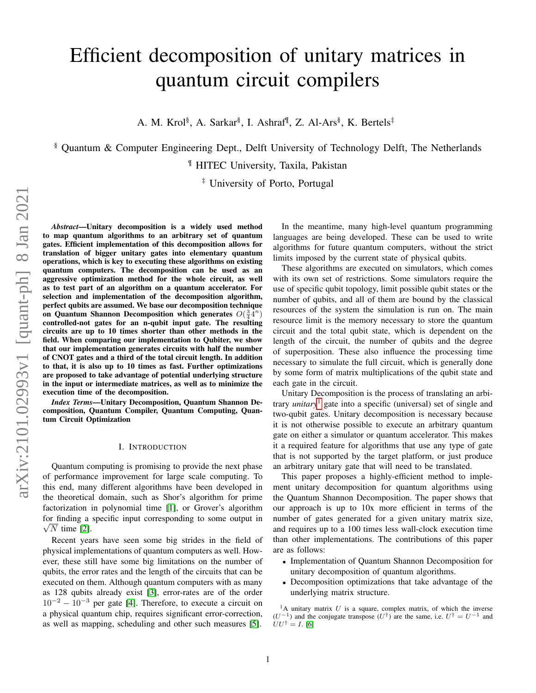# Efficient decomposition of unitary matrices in quantum circuit compilers

A. M. Krol<sup>§</sup>, A. Sarkar<sup>§</sup>, I. Ashraf<sup>¶</sup>, Z. Al-Ars<sup>§</sup>, K. Bertels<sup>‡</sup>

§ Quantum & Computer Engineering Dept., Delft University of Technology Delft, The Netherlands

¶ HITEC University, Taxila, Pakistan

‡ University of Porto, Portugal

*Abstract*—Unitary decomposition is a widely used method to map quantum algorithms to an arbitrary set of quantum gates. Efficient implementation of this decomposition allows for translation of bigger unitary gates into elementary quantum operations, which is key to executing these algorithms on existing quantum computers. The decomposition can be used as an aggressive optimization method for the whole circuit, as well as to test part of an algorithm on a quantum accelerator. For selection and implementation of the decomposition algorithm, perfect qubits are assumed. We base our decomposition technique on Quantum Shannon Decomposition which generates  $O(\frac{3}{4}4^n)$ controlled-not gates for an n-qubit input gate. The resulting circuits are up to 10 times shorter than other methods in the field. When comparing our implementation to Qubiter, we show that our implementation generates circuits with half the number of CNOT gates and a third of the total circuit length. In addition to that, it is also up to 10 times as fast. Further optimizations are proposed to take advantage of potential underlying structure in the input or intermediate matrices, as well as to minimize the execution time of the decomposition.

*Index Terms*—Unitary Decomposition, Quantum Shannon Decomposition, Quantum Compiler, Quantum Computing, Quantum Circuit Optimization

## I. INTRODUCTION

Quantum computing is promising to provide the next phase of performance improvement for large scale computing. To this end, many different algorithms have been developed in the theoretical domain, such as Shor's algorithm for prime factorization in polynomial time [\[1\]](#page-11-0), or Grover's algorithm for finding a specific input corresponding to some output in  $\sqrt{N}$  time [\[2\]](#page-11-1).

Recent years have seen some big strides in the field of physical implementations of quantum computers as well. However, these still have some big limitations on the number of qubits, the error rates and the length of the circuits that can be executed on them. Although quantum computers with as many as 128 qubits already exist [\[3\]](#page-11-2), error-rates are of the order  $10^{-2} - 10^{-3}$  per gate [\[4\]](#page-11-3). Therefore, to execute a circuit on a physical quantum chip, requires significant error-correction, as well as mapping, scheduling and other such measures [\[5\]](#page-11-4).

In the meantime, many high-level quantum programming languages are being developed. These can be used to write algorithms for future quantum computers, without the strict limits imposed by the current state of physical qubits.

These algorithms are executed on simulators, which comes with its own set of restrictions. Some simulators require the use of specific qubit topology, limit possible qubit states or the number of qubits, and all of them are bound by the classical resources of the system the simulation is run on. The main resource limit is the memory necessary to store the quantum circuit and the total qubit state, which is dependent on the length of the circuit, the number of qubits and the degree of superposition. These also influence the processing time necessary to simulate the full circuit, which is generally done by some form of matrix multiplications of the qubit state and each gate in the circuit.

Unitary Decomposition is the process of translating an arbitrary *unitary*[1](#page-0-0) gate into a specific (universal) set of single and two-qubit gates. Unitary decomposition is necessary because it is not otherwise possible to execute an arbitrary quantum gate on either a simulator or quantum accelerator. This makes it a required feature for algorithms that use any type of gate that is not supported by the target platform, or just produce an arbitrary unitary gate that will need to be translated.

This paper proposes a highly-efficient method to implement unitary decomposition for quantum algorithms using the Quantum Shannon Decomposition. The paper shows that our approach is up to 10x more efficient in terms of the number of gates generated for a given unitary matrix size, and requires up to a 100 times less wall-clock execution time than other implementations. The contributions of this paper are as follows:

- Implementation of Quantum Shannon Decomposition for unitary decomposition of quantum algorithms.
- Decomposition optimizations that take advantage of the underlying matrix structure.

<span id="page-0-0"></span><sup>1</sup>A unitary matrix U is a square, complex matrix, of which the inverse  $(U^{-1})$  and the conjugate transpose  $(U^{\dagger})$  are the same, i.e.  $U^{\dagger} = U^{-1}$  and  $UU^{\dagger} = I.$  [\[6\]](#page-11-5)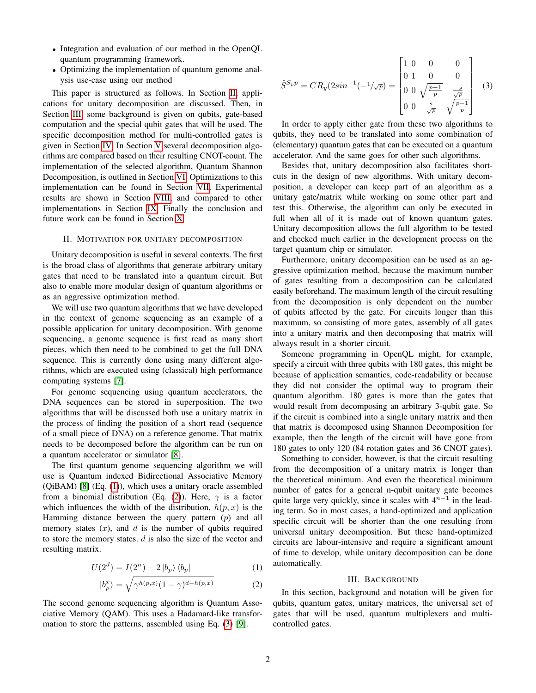- Integration and evaluation of our method in the OpenQL quantum programming framework.
- Optimizing the implementation of quantum genome analysis use-case using our method

This paper is structured as follows. In Section [II,](#page-1-0) applications for unitary decomposition are discussed. Then, in Section [III,](#page-1-1) some background is given on qubits, gate-based computation and the special qubit gates that will be used. The specific decomposition method for multi-controlled gates is given in Section [IV.](#page-3-0) In Section [V](#page-3-1) several decomposition algorithms are compared based on their resulting CNOT-count. The implementation of the selected algorithm, Quantum Shannon Decomposition, is outlined in Section [VI.](#page-7-0) Optimizations to this implementation can be found in Section [VII.](#page-8-0) Experimental results are shown in Section [VIII,](#page-8-1) and compared to other implementations in Section [IX.](#page-9-0) Finally the conclusion and future work can be found in Section [X.](#page-10-0)

## <span id="page-1-0"></span>II. MOTIVATION FOR UNITARY DECOMPOSITION

Unitary decomposition is useful in several contexts. The first is the broad class of algorithms that generate arbitrary unitary gates that need to be translated into a quantum circuit. But also to enable more modular design of quantum algorithms or as an aggressive optimization method.

We will use two quantum algorithms that we have developed in the context of genome sequencing as an example of a possible application for unitary decomposition. With genome sequencing, a genome sequence is first read as many short pieces, which then need to be combined to get the full DNA sequence. This is currently done using many different algorithms, which are executed using (classical) high performance computing systems [\[7\]](#page-11-6).

For genome sequencing using quantum accelerators, the DNA sequences can be stored in superposition. The two algorithms that will be discussed both use a unitary matrix in the process of finding the position of a short read (sequence of a small piece of DNA) on a reference genome. That matrix needs to be decomposed before the algorithm can be run on a quantum accelerator or simulator [\[8\]](#page-11-7).

The first quantum genome sequencing algorithm we will use is Quantum indexed Bidirectional Associative Memory (QiBAM) [\[8\]](#page-11-7) (Eq. [\(1\)](#page-1-2)), which uses a unitary oracle assembled from a binomial distribution (Eq. [\(2\)](#page-1-3)). Here,  $\gamma$  is a factor which influences the width of the distribution,  $h(p, x)$  is the Hamming distance between the query pattern  $(p)$  and all memory states  $(x)$ , and  $d$  is the number of qubits required to store the memory states.  $d$  is also the size of the vector and resulting matrix.

$$
U(2d) = I(2n) - 2 |b_p\rangle \langle b_p|
$$
 (1)

$$
|b_p^x\rangle = \sqrt{\gamma^{h(p,x)}(1-\gamma)^{d-h(p,x)}}
$$
 (2)

The second genome sequencing algorithm is Quantum Associative Memory (QAM). This uses a Hadamard-like transformation to store the patterns, assembled using Eq. [\(3\)](#page-1-4) [\[9\]](#page-11-8).

<span id="page-1-4"></span>
$$
\hat{S}^{S_p p} = C R_y (2\sin^{-1}(-1/\sqrt{p})) = \begin{bmatrix} 1 & 0 & 0 & 0 \\ 0 & 1 & 0 & 0 \\ 0 & 0 & \sqrt{\frac{p-1}{p}} & \frac{-s}{\sqrt{p}} \\ 0 & 0 & \frac{s}{\sqrt{p}} & \sqrt{\frac{p-1}{p}} \end{bmatrix}
$$
(3)

In order to apply either gate from these two algorithms to qubits, they need to be translated into some combination of (elementary) quantum gates that can be executed on a quantum accelerator. And the same goes for other such algorithms.

Besides that, unitary decomposition also facilitates shortcuts in the design of new algorithms. With unitary decomposition, a developer can keep part of an algorithm as a unitary gate/matrix while working on some other part and test this. Otherwise, the algorithm can only be executed in full when all of it is made out of known quantum gates. Unitary decomposition allows the full algorithm to be tested and checked much earlier in the development process on the target quantum chip or simulator.

Furthermore, unitary decomposition can be used as an aggressive optimization method, because the maximum number of gates resulting from a decomposition can be calculated easily beforehand. The maximum length of the circuit resulting from the decomposition is only dependent on the number of qubits affected by the gate. For circuits longer than this maximum, so consisting of more gates, assembly of all gates into a unitary matrix and then decomposing that matrix will always result in a shorter circuit.

Someone programming in OpenQL might, for example, specify a circuit with three qubits with 180 gates, this might be because of application semantics, code-readability or because they did not consider the optimal way to program their quantum algorithm. 180 gates is more than the gates that would result from decomposing an arbitrary 3-qubit gate. So if the circuit is combined into a single unitary matrix and then that matrix is decomposed using Shannon Decomposition for example, then the length of the circuit will have gone from 180 gates to only 120 (84 rotation gates and 36 CNOT gates).

Something to consider, however, is that the circuit resulting from the decomposition of a unitary matrix is longer than the theoretical minimum. And even the theoretical minimum number of gates for a general n-qubit unitary gate becomes quite large very quickly, since it scales with  $4^{n-1}$  in the leading term. So in most cases, a hand-optimized and application specific circuit will be shorter than the one resulting from universal unitary decomposition. But these hand-optimized circuits are labour-intensive and require a significant amount of time to develop, while unitary decomposition can be done automatically.

#### III. BACKGROUND

<span id="page-1-3"></span><span id="page-1-2"></span><span id="page-1-1"></span>In this section, background and notation will be given for qubits, quantum gates, unitary matrices, the universal set of gates that will be used, quantum multiplexers and multicontrolled gates.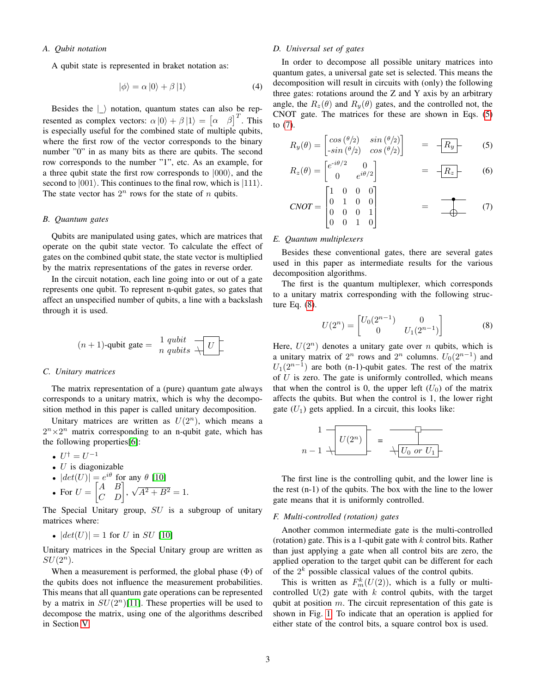# *A. Qubit notation*

A qubit state is represented in braket notation as:

$$
|\phi\rangle = \alpha |0\rangle + \beta |1\rangle \tag{4}
$$

Besides the  $\vert \_ \rangle$  notation, quantum states can also be represented as complex vectors:  $\alpha |0\rangle + \beta |1\rangle = [\alpha \ \beta]^T$ . This is especially useful for the combined state of multiple qubits, where the first row of the vector corresponds to the binary number "0" in as many bits as there are qubits. The second row corresponds to the number "1", etc. As an example, for a three qubit state the first row corresponds to  $|000\rangle$ , and the second to  $|001\rangle$ . This continues to the final row, which is  $|111\rangle$ . The state vector has  $2^n$  rows for the state of n qubits.

#### *B. Quantum gates*

Qubits are manipulated using gates, which are matrices that operate on the qubit state vector. To calculate the effect of gates on the combined qubit state, the state vector is multiplied by the matrix representations of the gates in reverse order.

In the circuit notation, each line going into or out of a gate represents one qubit. To represent n-qubit gates, so gates that affect an unspecified number of qubits, a line with a backslash through it is used.

$$
(n+1)\text{-qubit gate} = \frac{1}{n} \frac{qubit}{qubits} \frac{1}{\sqrt{1 - \frac{1}{n}}}
$$

#### *C. Unitary matrices*

The matrix representation of a (pure) quantum gate always corresponds to a unitary matrix, which is why the decomposition method in this paper is called unitary decomposition.

Unitary matrices are written as  $U(2^n)$ , which means a  $2^{n} \times 2^{n}$  matrix corresponding to an n-qubit gate, which has the following properties[\[6\]](#page-11-5):

$$
\bullet\ U^\dagger = U^{-1}
$$

- $\bullet$  *U* is diagonizable
- $|det(U)| = e^{i\theta}$  for any  $\theta$  [\[10\]](#page-11-9)  $\sqrt{A^2 + B^2} = 1.$
- For  $U = \begin{bmatrix} A & B \\ C & D \end{bmatrix}$ ,

The Special Unitary group,  $SU$  is a subgroup of unitary matrices where:

• 
$$
|det(U)| = 1
$$
 for U in SU [10]

Unitary matrices in the Special Unitary group are written as  $SU(2^n)$ .

When a measurement is performed, the global phase  $(\Phi)$  of the qubits does not influence the measurement probabilities. This means that all quantum gate operations can be represented by a matrix in  $SU(2<sup>n</sup>)$ [\[11\]](#page-11-10). These properties will be used to decompose the matrix, using one of the algorithms described in Section [V.](#page-3-1)

# *D. Universal set of gates*

In order to decompose all possible unitary matrices into quantum gates, a universal gate set is selected. This means the decomposition will result in circuits with (only) the following three gates: rotations around the Z and Y axis by an arbitrary angle, the  $R_z(\theta)$  and  $R_y(\theta)$  gates, and the controlled not, the CNOT gate. The matrices for these are shown in Eqs. [\(5\)](#page-2-0) to [\(7\)](#page-2-1).

<span id="page-2-0"></span>
$$
R_y(\theta) = \begin{bmatrix} \cos(\theta/2) & \sin(\theta/2) \\ -\sin(\theta/2) & \cos(\theta/2) \end{bmatrix} \qquad = \qquad -\boxed{R_y} \tag{5}
$$

$$
R_z(\theta) = \begin{bmatrix} e^{-i\theta/2} & 0\\ 0 & e^{i\theta/2} \end{bmatrix} = -\boxed{R_z} \tag{6}
$$

<span id="page-2-1"></span>
$$
CNOT = \begin{bmatrix} 1 & 0 & 0 & 0 \\ 0 & 1 & 0 & 0 \\ 0 & 0 & 0 & 1 \\ 0 & 0 & 1 & 0 \end{bmatrix} = \begin{matrix} 0 & 0 & 0 \\ 0 & 0 & 0 \\ 0 & 0 & 0 \end{matrix}
$$
 (7)

# <span id="page-2-4"></span>*E. Quantum multiplexers*

Besides these conventional gates, there are several gates used in this paper as intermediate results for the various decomposition algorithms.

The first is the quantum multiplexer, which corresponds to a unitary matrix corresponding with the following structure Eq. [\(8\)](#page-2-2).

<span id="page-2-2"></span>
$$
U(2^n) = \begin{bmatrix} U_0(2^{n-1}) & 0\\ 0 & U_1(2^{n-1}) \end{bmatrix}
$$
 (8)

Here,  $U(2^n)$  denotes a unitary gate over n qubits, which is a unitary matrix of  $2^n$  rows and  $2^n$  columns.  $U_0(2^{n-1})$  and  $U_1(2^{n-1})$  are both (n-1)-qubit gates. The rest of the matrix of  $U$  is zero. The gate is uniformly controlled, which means that when the control is 0, the upper left  $(U_0)$  of the matrix affects the qubits. But when the control is 1, the lower right gate  $(U_1)$  gets applied. In a circuit, this looks like:

$$
\begin{array}{c|c}1 & \hline & & \\ \hline & & & \\ n-1 & \hline & & \hline \end{array}
$$

The first line is the controlling qubit, and the lower line is the rest (n-1) of the qubits. The box with the line to the lower gate means that it is uniformly controlled.

#### <span id="page-2-3"></span>*F. Multi-controlled (rotation) gates*

Another common intermediate gate is the multi-controlled (rotation) gate. This is a 1-qubit gate with  $k$  control bits. Rather than just applying a gate when all control bits are zero, the applied operation to the target qubit can be different for each of the  $2<sup>k</sup>$  possible classical values of the control qubits.

This is written as  $F_m^k(U(2))$ , which is a fully or multicontrolled  $U(2)$  gate with k control qubits, with the target qubit at position  $m$ . The circuit representation of this gate is shown in Fig. [1.](#page-3-2) To indicate that an operation is applied for either state of the control bits, a square control box is used.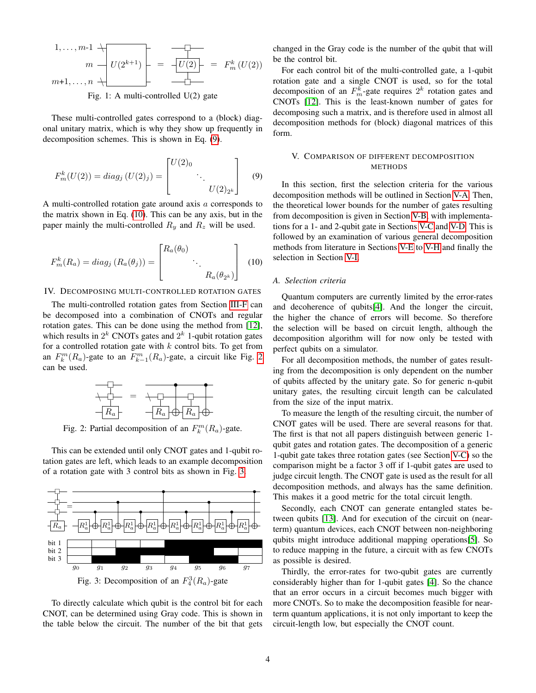<span id="page-3-2"></span>
$$
1, \ldots, m-1 \uparrow
$$
\n
$$
m \rightarrow U(2^{k+1}) = \overrightarrow{-U(2)} = F_m^k(U(2))
$$
\n
$$
m+1, \ldots, n \downarrow
$$

Fig. 1: A multi-controlled U(2) gate

These multi-controlled gates correspond to a (block) diagonal unitary matrix, which is why they show up frequently in decomposition schemes. This is shown in Eq. [\(9\)](#page-3-3).

$$
F_m^k(U(2)) = diag_j(U(2)_j) = \begin{bmatrix} U(2)_0 & & \\ & \ddots & \\ & & U(2)_{2^k} \end{bmatrix}
$$
 (9)

A multi-controlled rotation gate around axis a corresponds to the matrix shown in Eq. [\(10\)](#page-3-4). This can be any axis, but in the paper mainly the multi-controlled  $R_y$  and  $R_z$  will be used.

$$
F_m^k(R_a) = diag_j (R_a(\theta_j)) = \begin{bmatrix} R_a(\theta_0) & & \\ & \ddots & \\ & & R_a(\theta_{2^k}) \end{bmatrix}
$$
 (10)

### <span id="page-3-0"></span>IV. DECOMPOSING MULTI-CONTROLLED ROTATION GATES

The multi-controlled rotation gates from Section [III-F](#page-2-3) can be decomposed into a combination of CNOTs and regular rotation gates. This can be done using the method from [\[12\]](#page-11-11), which results in  $2^k$  CNOTs gates and  $2^k$  1-qubit rotation gates for a controlled rotation gate with  $k$  control bits. To get from an  $F_k^m(R_a)$ -gate to an  $F_{k-1}^m(R_a)$ -gate, a circuit like Fig. [2](#page-3-5) can be used.

<span id="page-3-5"></span>

Fig. 2: Partial decomposition of an  $F_k^m(R_a)$ -gate.

This can be extended until only CNOT gates and 1-qubit rotation gates are left, which leads to an example decomposition of a rotation gate with 3 control bits as shown in Fig. [3.](#page-3-6)

<span id="page-3-6"></span>

To directly calculate which qubit is the control bit for each CNOT, can be determined using Gray code. This is shown in the table below the circuit. The number of the bit that gets

changed in the Gray code is the number of the qubit that will be the control bit.

For each control bit of the multi-controlled gate, a 1-qubit rotation gate and a single CNOT is used, so for the total decomposition of an  $F_m^k$ -gate requires  $2^k$  rotation gates and CNOTs [\[12\]](#page-11-11). This is the least-known number of gates for decomposing such a matrix, and is therefore used in almost all decomposition methods for (block) diagonal matrices of this form.

# <span id="page-3-1"></span>V. COMPARISON OF DIFFERENT DECOMPOSITION METHODS

<span id="page-3-3"></span>In this section, first the selection criteria for the various decomposition methods will be outlined in Section [V-A.](#page-3-7) Then, the theoretical lower bounds for the number of gates resulting from decomposition is given in Section [V-B,](#page-4-0) with implementations for a 1- and 2-qubit gate in Sections [V-C](#page-4-1) and [V-D.](#page-4-2) This is followed by an examination of various general decomposition methods from literature in Sections [V-E](#page-4-3) to [V-H](#page-6-0) and finally the selection in Section [V-I.](#page-6-1)

### <span id="page-3-7"></span><span id="page-3-4"></span>*A. Selection criteria*

Quantum computers are currently limited by the error-rates and decoherence of qubits[\[4\]](#page-11-3). And the longer the circuit, the higher the chance of errors will become. So therefore the selection will be based on circuit length, although the decomposition algorithm will for now only be tested with perfect qubits on a simulator.

For all decomposition methods, the number of gates resulting from the decomposition is only dependent on the number of qubits affected by the unitary gate. So for generic n-qubit unitary gates, the resulting circuit length can be calculated from the size of the input matrix.

To measure the length of the resulting circuit, the number of CNOT gates will be used. There are several reasons for that. The first is that not all papers distinguish between generic 1 qubit gates and rotation gates. The decomposition of a generic 1-qubit gate takes three rotation gates (see Section [V-C\)](#page-4-1) so the comparison might be a factor 3 off if 1-qubit gates are used to judge circuit length. The CNOT gate is used as the result for all decomposition methods, and always has the same definition. This makes it a good metric for the total circuit length.

Secondly, each CNOT can generate entangled states between qubits [\[13\]](#page-11-12). And for execution of the circuit on (nearterm) quantum devices, each CNOT between non-neighboring qubits might introduce additional mapping operations[\[5\]](#page-11-4). So to reduce mapping in the future, a circuit with as few CNOTs as possible is desired.

Thirdly, the error-rates for two-qubit gates are currently considerably higher than for 1-qubit gates [\[4\]](#page-11-3). So the chance that an error occurs in a circuit becomes much bigger with more CNOTs. So to make the decomposition feasible for nearterm quantum applications, it is not only important to keep the circuit-length low, but especially the CNOT count.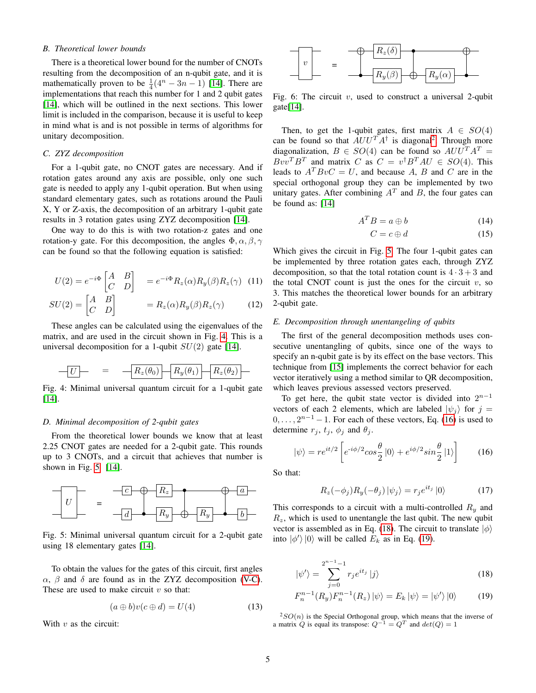# <span id="page-4-0"></span>*B. Theoretical lower bounds*

There is a theoretical lower bound for the number of CNOTs resulting from the decomposition of an n-qubit gate, and it is mathematically proven to be  $\frac{1}{4}(4^n - 3n - 1)$  [\[14\]](#page-11-13). There are implementations that reach this number for 1 and 2 qubit gates [\[14\]](#page-11-13), which will be outlined in the next sections. This lower limit is included in the comparison, because it is useful to keep in mind what is and is not possible in terms of algorithms for unitary decomposition.

## <span id="page-4-1"></span>*C. ZYZ decomposition*

For a 1-qubit gate, no CNOT gates are necessary. And if rotation gates around any axis are possible, only one such gate is needed to apply any 1-qubit operation. But when using standard elementary gates, such as rotations around the Pauli X, Y or Z-axis, the decomposition of an arbitrary 1-qubit gate results in 3 rotation gates using ZYZ decomposition [\[14\]](#page-11-13).

One way to do this is with two rotation-z gates and one rotation-y gate. For this decomposition, the angles  $\Phi$ ,  $\alpha$ ,  $\beta$ ,  $\gamma$ can be found so that the following equation is satisfied:

$$
U(2) = e^{-i\Phi} \begin{bmatrix} A & B \\ C & D \end{bmatrix} = e^{-i\Phi} R_z(\alpha) R_y(\beta) R_z(\gamma) \quad (11)
$$

$$
SU(2) = \begin{bmatrix} A & B \\ C & D \end{bmatrix} = R_z(\alpha) R_y(\beta) R_z(\gamma) \tag{12}
$$

These angles can be calculated using the eigenvalues of the matrix, and are used in the circuit shown in Fig. [4.](#page-4-4) This is a universal decomposition for a 1-qubit  $SU(2)$  gate [\[14\]](#page-11-13).

<span id="page-4-4"></span>
$$
-U \qquad = \qquad -R_z(\theta_0) \qquad R_y(\theta_1) \qquad R_z(\theta_2)
$$

Fig. 4: Minimal universal quantum circuit for a 1-qubit gate [\[14\]](#page-11-13).

#### <span id="page-4-2"></span>*D. Minimal decomposition of 2-qubit gates*

From the theoretical lower bounds we know that at least 2.25 CNOT gates are needed for a 2-qubit gate. This rounds up to 3 CNOTs, and a circuit that achieves that number is shown in Fig. [5](#page-4-5) [\[14\]](#page-11-13).

<span id="page-4-5"></span>

Fig. 5: Minimal universal quantum circuit for a 2-qubit gate using 18 elementary gates [\[14\]](#page-11-13).

To obtain the values for the gates of this circuit, first angles  $\alpha$ ,  $\beta$  and  $\delta$  are found as in the ZYZ decomposition [\(V-C\)](#page-4-1). These are used to make circuit  $v$  so that:

$$
(a \oplus b)v(c \oplus d) = U(4) \tag{13}
$$

With  $v$  as the circuit:



Fig. 6: The circuit  $v$ , used to construct a universal 2-qubit gate[\[14\]](#page-11-13).

Then, to get the 1-qubit gates, first matrix  $A \in SO(4)$ can be found so that  $AUU^T A^{\dagger}$  is diagonal<sup>[2](#page-4-6)</sup>. Through more diagonalization,  $B \in SO(4)$  can be found so  $AUU^{T}A^{T} =$  $Bvv^TB^T$  and matrix C as  $C = v^{\dagger}B^TAU \in SO(4)$ . This leads to  $A^T B v C = U$ , and because A, B and C are in the special orthogonal group they can be implemented by two unitary gates. After combining  $A<sup>T</sup>$  and B, the four gates can be found as: [\[14\]](#page-11-13)

$$
A^T B = a \oplus b \tag{14}
$$

$$
C = c \oplus d \tag{15}
$$

Which gives the circuit in Fig. [5.](#page-4-5) The four 1-qubit gates can be implemented by three rotation gates each, through ZYZ decomposition, so that the total rotation count is  $4 \cdot 3 + 3$  and the total CNOT count is just the ones for the circuit  $v$ , so 3. This matches the theoretical lower bounds for an arbitrary 2-qubit gate.

# <span id="page-4-3"></span>*E. Decomposition through unentangeling of qubits*

The first of the general decomposition methods uses consecutive unentangling of qubits, since one of the ways to specify an n-qubit gate is by its effect on the base vectors. This technique from [\[15\]](#page-11-14) implements the correct behavior for each vector iteratively using a method similar to QR decomposition, which leaves previous assessed vectors preserved.

To get here, the qubit state vector is divided into  $2^{n-1}$ vectors of each 2 elements, which are labeled  $|\psi_j\rangle$  for  $j =$  $0, \ldots, 2^{n-1} - 1$ . For each of these vectors, Eq. [\(16\)](#page-4-7) is used to determine  $r_j$ ,  $t_j$ ,  $\phi_j$  and  $\theta_j$ .

$$
|\psi\rangle = re^{it/2} \left[ e^{-i\phi/2} \cos\frac{\theta}{2} |0\rangle + e^{i\phi/2} \sin\frac{\theta}{2} |1\rangle \right]
$$
 (16)

So that:

<span id="page-4-8"></span><span id="page-4-7"></span>
$$
R_z(-\phi_j)R_y(-\theta_j)|\psi_j\rangle = r_je^{it_j}|0\rangle \tag{17}
$$

This corresponds to a circuit with a multi-controlled  $R_y$  and  $R_z$ , which is used to unentangle the last qubit. The new qubit vector is assembled as in Eq. [\(18\)](#page-4-8). The circuit to translate  $|\phi\rangle$ into  $|\phi'\rangle|0\rangle$  will be called  $E_k$  as in Eq. [\(19\)](#page-4-9).

<span id="page-4-9"></span>
$$
|\psi'\rangle = \sum_{j=0}^{2^{n-1}-1} r_j e^{it_j} |j\rangle \tag{18}
$$

$$
F_n^{n-1}(R_y)F_n^{n-1}(R_z)|\psi\rangle = E_k|\psi\rangle = |\psi'\rangle|0\rangle \tag{19}
$$

<span id="page-4-6"></span> $2SO(n)$  is the Special Orthogonal group, which means that the inverse of a matrix  $Q$  is equal its transpose:  $Q^{-1} = Q^T$  and  $det(Q) = 1$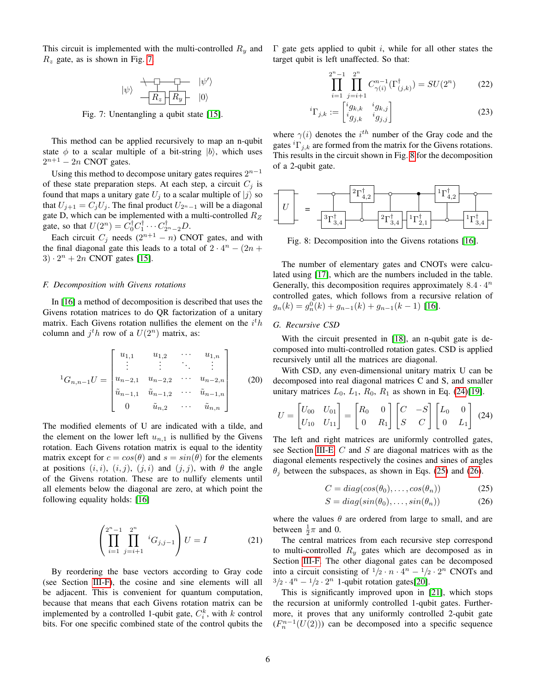<span id="page-5-0"></span>This circuit is implemented with the multi-controlled  $R_y$  and  $R_z$  gate, as is shown in Fig. [7.](#page-5-0)

$$
|\psi\rangle \begin{array}{c} \begin{array}{c} \begin{array}{c} \begin{array}{c} \uparrow \\ \uparrow \end{array} \end{array} & |\psi'\rangle \\ \hline \begin{array}{c} \begin{array}{c} \hline \begin{array}{c} \hline \end{array} & R_y \end{array} & |0\rangle \end{array} \end{array}
$$

Fig. 7: Unentangling a qubit state [\[15\]](#page-11-14).

This method can be applied recursively to map an n-qubit state  $\phi$  to a scalar multiple of a bit-string  $|b\rangle$ , which uses  $2^{n+1}$  – 2n CNOT gates.

Using this method to decompose unitary gates requires  $2^{n-1}$ of these state preparation steps. At each step, a circuit  $C_j$  is found that maps a unitary gate  $U_j$  to a scalar multiple of  $|j\rangle$  so that  $U_{j+1} = C_j U_j$ . The final product  $U_{2^n-1}$  will be a diagonal gate D, which can be implemented with a multi-controlled  $R_Z$ gate, so that  $U(2^n) = \hat{C}_0^{\dagger} C_1^{\dagger} \cdots C_{2^n-2}^{\dagger} D$ .

Each circuit  $C_j$  needs  $(2^{n+1} - n)$  CNOT gates, and with the final diagonal gate this leads to a total of  $2 \cdot 4^n - (2n +$  $3) \cdot 2^n + 2n$  CNOT gates [\[15\]](#page-11-14).

# <span id="page-5-6"></span>*F. Decomposition with Givens rotations*

In [\[16\]](#page-11-15) a method of decomposition is described that uses the Givens rotation matrices to do QR factorization of a unitary matrix. Each Givens rotation nullifies the element on the  $i<sup>t</sup>h$ column and  $j^th$  row of a  $U(2^n)$  matrix, as:

$$
{}^{1}G_{n,n-1}U = \begin{bmatrix} u_{1,1} & u_{1,2} & \cdots & u_{1,n} \\ \vdots & \vdots & \ddots & \vdots \\ u_{n-2,1} & u_{n-2,2} & \cdots & u_{n-2,n} \\ \tilde{u}_{n-1,1} & \tilde{u}_{n-1,2} & \cdots & \tilde{u}_{n-1,n} \\ 0 & \tilde{u}_{n,2} & \cdots & \tilde{u}_{n,n} \end{bmatrix}
$$
(20)

The modified elements of U are indicated with a tilde, and the element on the lower left  $u_{n,1}$  is nullified by the Givens rotation. Each Givens rotation matrix is equal to the identity matrix except for  $c = cos(\theta)$  and  $s = sin(\theta)$  for the elements at positions  $(i, i)$ ,  $(i, j)$ ,  $(j, i)$  and  $(j, j)$ , with  $\theta$  the angle of the Givens rotation. These are to nullify elements until all elements below the diagonal are zero, at which point the following equality holds: [\[16\]](#page-11-15)

$$
\left(\prod_{i=1}^{2^n-1} \prod_{j=i+1}^{2^n} {}^{i}G_{j,j-1}\right) U = I \tag{21}
$$

By reordering the base vectors according to Gray code (see Section [III-F\)](#page-2-3), the cosine and sine elements will all be adjacent. This is convenient for quantum computation, because that means that each Givens rotation matrix can be implemented by a controlled 1-qubit gate,  $C_i^k$ , with k control bits. For one specific combined state of the control qubits the Γ gate gets applied to qubit *i*, while for all other states the target qubit is left unaffected. So that:

$$
\prod_{i=1}^{2^n-1} \prod_{j=i+1}^{2^n} C_{\gamma(i)}^{n-1}(\Gamma_{(j,k)}^\dagger) = SU(2^n) \tag{22}
$$

$$
{}^{i}\Gamma_{j,k} := \begin{bmatrix} {}^{i}g_{k,k} & {}^{i}g_{k,j} \\ {}^{i}g_{j,k} & {}^{i}g_{j,j} \end{bmatrix}
$$
 (23)

where  $\gamma(i)$  denotes the  $i^{th}$  number of the Gray code and the gates  ${}^{i}\Gamma_{i,k}$  are formed from the matrix for the Givens rotations. This results in the circuit shown in Fig. [8](#page-5-1) for the decomposition of a 2-qubit gate.

<span id="page-5-1"></span>

Fig. 8: Decomposition into the Givens rotations [\[16\]](#page-11-15).

The number of elementary gates and CNOTs were calculated using [\[17\]](#page-11-16), which are the numbers included in the table. Generally, this decomposition requires approximately  $8.4 \cdot 4^n$ controlled gates, which follows from a recursive relation of  $g_n(k) = g_n^0(k) + g_{n-1}(k) + g_{n-1}(k-1)$  [\[16\]](#page-11-15).

# <span id="page-5-5"></span>*G. Recursive CSD*

With the circuit presented in [\[18\]](#page-11-17), an n-qubit gate is decomposed into multi-controlled rotation gates. CSD is applied recursively until all the matrices are diagonal.

With CSD, any even-dimensional unitary matrix U can be decomposed into real diagonal matrices C and S, and smaller unitary matrices  $L_0$ ,  $L_1$ ,  $R_0$ ,  $R_1$  as shown in Eq. [\(24\)](#page-5-2)[\[19\]](#page-11-18).

$$
U = \begin{bmatrix} U_{00} & U_{01} \\ U_{10} & U_{11} \end{bmatrix} = \begin{bmatrix} R_0 & 0 \\ 0 & R_1 \end{bmatrix} \begin{bmatrix} C & -S \\ S & C \end{bmatrix} \begin{bmatrix} L_0 & 0 \\ 0 & L_1 \end{bmatrix}
$$
 (24)

The left and right matrices are uniformly controlled gates, see Section [III-E.](#page-2-4) C and S are diagonal matrices with as the diagonal elements respectively the cosines and sines of angles  $\theta_i$  between the subspaces, as shown in Eqs. [\(25\)](#page-5-3) and [\(26\)](#page-5-4).

<span id="page-5-4"></span><span id="page-5-3"></span><span id="page-5-2"></span>
$$
C = diag(cos(\theta_0), \dots, cos(\theta_n))
$$
 (25)

$$
S = diag(sin(\theta_0), \dots, sin(\theta_n))
$$
 (26)

where the values  $\theta$  are ordered from large to small, and are between  $\frac{1}{2}\pi$  and 0.

The central matrices from each recursive step correspond to multi-controlled  $R_y$  gates which are decomposed as in Section [III-F.](#page-2-3) The other diagonal gates can be decomposed into a circuit consisting of  $1/2 \cdot n \cdot 4^n - 1/2 \cdot 2^n$  CNOTs and  $3/2 \cdot 4^n - 1/2 \cdot 2^n$  1-qubit rotation gates[\[20\]](#page-11-19).

This is significantly improved upon in [\[21\]](#page-11-20), which stops the recursion at uniformly controlled 1-qubit gates. Furthermore, it proves that any uniformly controlled 2-qubit gate  $(F_n^{n-1}(U(2)))$  can be decomposed into a specific sequence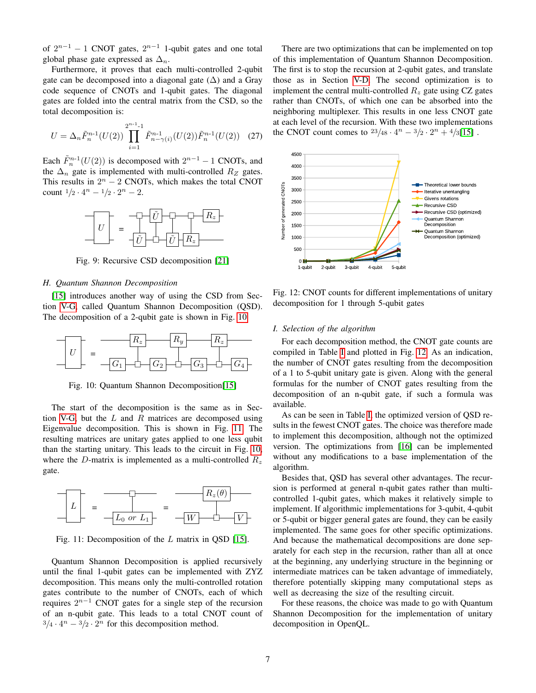of  $2^{n-1} - 1$  CNOT gates,  $2^{n-1}$  1-qubit gates and one total global phase gate expressed as  $\Delta_n$ .

Furthermore, it proves that each multi-controlled 2-qubit gate can be decomposed into a diagonal gate  $(\Delta)$  and a Gray code sequence of CNOTs and 1-qubit gates. The diagonal gates are folded into the central matrix from the CSD, so the total decomposition is:

$$
U = \Delta_n \tilde{F}_n^{n-1}(U(2)) \prod_{i=1}^{2^{n-1}-1} \tilde{F}_{n-\gamma(i)}^{n-1}(U(2)) \tilde{F}_n^{n-1}(U(2)) \quad (27)
$$

Each  $\tilde{F}_n^{n-1}(U(2))$  is decomposed with  $2^{n-1} - 1$  CNOTs, and the  $\Delta_n$  gate is implemented with multi-controlled  $R_Z$  gates. This results in  $2^n - 2$  CNOTs, which makes the total CNOT count  $1/2 \cdot 4^n - 1/2 \cdot 2^n - 2$ .



Fig. 9: Recursive CSD decomposition [\[21\]](#page-11-20)

## <span id="page-6-0"></span>*H. Quantum Shannon Decomposition*

[\[15\]](#page-11-14) introduces another way of using the CSD from Section [V-G,](#page-5-5) called Quantum Shannon Decomposition (QSD). The decomposition of a 2-qubit gate is shown in Fig. [10.](#page-6-2)

<span id="page-6-2"></span>

Fig. 10: Quantum Shannon Decomposition[\[15\]](#page-11-14)

The start of the decomposition is the same as in Sec-tion [V-G,](#page-5-5) but the  $L$  and  $R$  matrices are decomposed using Eigenvalue decomposition. This is shown in Fig. [11.](#page-6-3) The resulting matrices are unitary gates applied to one less qubit than the starting unitary. This leads to the circuit in Fig. [10,](#page-6-2) where the D-matrix is implemented as a multi-controlled  $R_z$ gate.

<span id="page-6-3"></span>

Fig. 11: Decomposition of the  $L$  matrix in QSD [\[15\]](#page-11-14).

Quantum Shannon Decomposition is applied recursively until the final 1-qubit gates can be implemented with ZYZ decomposition. This means only the multi-controlled rotation gates contribute to the number of CNOTs, each of which requires  $2^{n-1}$  CNOT gates for a single step of the recursion of an n-qubit gate. This leads to a total CNOT count of  $3/4 \cdot 4^n - 3/2 \cdot 2^n$  for this decomposition method.

There are two optimizations that can be implemented on top of this implementation of Quantum Shannon Decomposition. The first is to stop the recursion at 2-qubit gates, and translate those as in Section [V-D.](#page-4-2) The second optimization is to implement the central multi-controlled  $R_z$  gate using CZ gates rather than CNOTs, of which one can be absorbed into the neighboring multiplexer. This results in one less CNOT gate at each level of the recursion. With these two implementations the CNOT count comes to  $\frac{23}{48} \cdot 4^n - \frac{3}{2} \cdot 2^n + \frac{4}{3}$ [\[15\]](#page-11-14).

<span id="page-6-4"></span>

Fig. 12: CNOT counts for different implementations of unitary decomposition for 1 through 5-qubit gates

#### <span id="page-6-1"></span>*I. Selection of the algorithm*

For each decomposition method, the CNOT gate counts are compiled in Table [I](#page-7-1) and plotted in Fig. [12.](#page-6-4) As an indication, the number of CNOT gates resulting from the decomposition of a 1 to 5-qubit unitary gate is given. Along with the general formulas for the number of CNOT gates resulting from the decomposition of an n-qubit gate, if such a formula was available.

As can be seen in Table [I,](#page-7-1) the optimized version of QSD results in the fewest CNOT gates. The choice was therefore made to implement this decomposition, although not the optimized version. The optimizations from [\[16\]](#page-11-15) can be implemented without any modifications to a base implementation of the algorithm.

Besides that, QSD has several other advantages. The recursion is performed at general n-qubit gates rather than multicontrolled 1-qubit gates, which makes it relatively simple to implement. If algorithmic implementations for 3-qubit, 4-qubit or 5-qubit or bigger general gates are found, they can be easily implemented. The same goes for other specific optimizations. And because the mathematical decompositions are done separately for each step in the recursion, rather than all at once at the beginning, any underlying structure in the beginning or intermediate matrices can be taken advantage of immediately, therefore potentially skipping many computational steps as well as decreasing the size of the resulting circuit.

For these reasons, the choice was made to go with Quantum Shannon Decomposition for the implementation of unitary decomposition in OpenQL.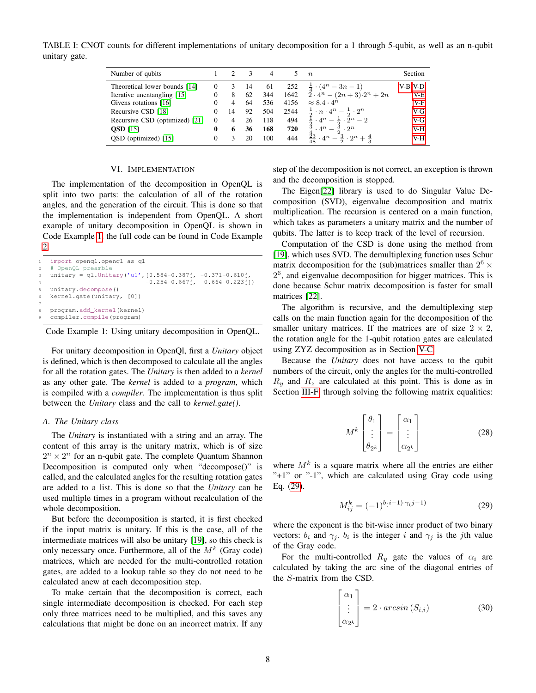<span id="page-7-1"></span>TABLE I: CNOT counts for different implementations of unitary decomposition for a 1 through 5-qubit, as well as an n-qubit unitary gate.

| Number of qubits               |          |    |    | 4   |      | $n_{\rm c}$                                                      | Section |
|--------------------------------|----------|----|----|-----|------|------------------------------------------------------------------|---------|
| Theoretical lower bounds [14]  | $\Omega$ |    | 14 | 61  | 252  | $\frac{1}{4} \cdot (4^n - 3n - 1)$                               | V-B-V-D |
| Iterative unentangling [15]    | 0        | 8  | 62 | 344 | 1642 | $2 \cdot 4^n - (2n+3) \cdot 2^n + 2n$                            | $V-E$   |
| Givens rotations [16]          |          |    | 64 | 536 | 4156 | $\approx 8.4 \cdot 4^n$                                          | $V-F$   |
| Recursive CSD [18]             |          | 14 | 92 | 504 | 2544 | $\frac{1}{2} \cdot n \cdot 4^n - \frac{1}{2} \cdot 2^n$          | $V-G$   |
| Recursive CSD (optimized) [21] | $\Omega$ |    | 26 | 118 | 494  | $\frac{1}{2} \cdot 4^n - \frac{1}{2} \cdot 2^n - 2$              | $V-G$   |
| QSD $\left[15\right]$          | 0        | 6  | 36 | 168 | 720  | $\cdot\cdot 4^n - \frac{5}{2}\cdot 2^n$                          | V-H     |
| QSD (optimized) [15]           | 0        |    | 20 | 100 | 444  | $\frac{43}{48} \cdot 4^n - \frac{23}{2} \cdot 2^n + \frac{4}{3}$ | V-H     |

#### VI. IMPLEMENTATION

<span id="page-7-0"></span>The implementation of the decomposition in OpenQL is split into two parts: the calculation of all of the rotation angles, and the generation of the circuit. This is done so that the implementation is independent from OpenQL. A short example of unitary decomposition in OpenQL is shown in Code Example [1,](#page-7-2) the full code can be found in Code Example [2.](#page-11-21)

```
import openql.openql as ql
   # OpenQL preamble
   \text{unitary} = \text{ql.Unitary('u1', [0.584-0.387j, -0.371-0.610j,-0.254-0.667j, 0.664-0.223j])
   unitary.decompose()
   kernel.gate(unitary, [0])
7
   8 program.add_kernel(kernel)
   compiler.compile(program)
```
#### Code Example 1: Using unitary decomposition in OpenQL.

For unitary decomposition in OpenQl, first a *Unitary* object is defined, which is then decomposed to calculate all the angles for all the rotation gates. The *Unitary* is then added to a *kernel* as any other gate. The *kernel* is added to a *program*, which is compiled with a *compiler*. The implementation is thus split between the *Unitary* class and the call to *kernel.gate()*.

#### *A. The Unitary class*

The *Unitary* is instantiated with a string and an array. The content of this array is the unitary matrix, which is of size  $2^n \times 2^n$  for an n-qubit gate. The complete Quantum Shannon Decomposition is computed only when "decompose()" is called, and the calculated angles for the resulting rotation gates are added to a list. This is done so that the *Unitary* can be used multiple times in a program without recalculation of the whole decomposition.

But before the decomposition is started, it is first checked if the input matrix is unitary. If this is the case, all of the intermediate matrices will also be unitary [\[19\]](#page-11-18), so this check is only necessary once. Furthermore, all of the  $M^k$  (Gray code) matrices, which are needed for the multi-controlled rotation gates, are added to a lookup table so they do not need to be calculated anew at each decomposition step.

To make certain that the decomposition is correct, each single intermediate decomposition is checked. For each step only three matrices need to be multiplied, and this saves any calculations that might be done on an incorrect matrix. If any step of the decomposition is not correct, an exception is thrown and the decomposition is stopped.

The Eigen[\[22\]](#page-11-22) library is used to do Singular Value Decomposition (SVD), eigenvalue decomposition and matrix multiplication. The recursion is centered on a main function, which takes as parameters a unitary matrix and the number of qubits. The latter is to keep track of the level of recursion.

Computation of the CSD is done using the method from [\[19\]](#page-11-18), which uses SVD. The demultiplexing function uses Schur matrix decomposition for the (sub)matrices smaller than  $2^6 \times$ 2<sup>6</sup>, and eigenvalue decomposition for bigger matrices. This is done because Schur matrix decomposition is faster for small matrices [\[22\]](#page-11-22).

The algorithm is recursive, and the demultiplexing step calls on the main function again for the decomposition of the smaller unitary matrices. If the matrices are of size  $2 \times 2$ , the rotation angle for the 1-qubit rotation gates are calculated using ZYZ decomposition as in Section [V-C.](#page-4-1)

Because the *Unitary* does not have access to the qubit numbers of the circuit, only the angles for the multi-controlled  $R_u$  and  $R_z$  are calculated at this point. This is done as in Section [III-F,](#page-2-3) through solving the following matrix equalities:

$$
M^k \begin{bmatrix} \theta_1 \\ \vdots \\ \theta_{2^k} \end{bmatrix} = \begin{bmatrix} \alpha_1 \\ \vdots \\ \alpha_{2^k} \end{bmatrix}
$$
 (28)

where  $M^k$  is a square matrix where all the entries are either "+1" or "-1", which are calculated using Gray code using Eq. [\(29\)](#page-7-3).

<span id="page-7-3"></span>
$$
M_{ij}^k = (-1)^{b(i-1)\cdot\gamma(j-1)}\tag{29}
$$

where the exponent is the bit-wise inner product of two binary vectors:  $b_i$  and  $\gamma_j$ .  $b_i$  is the integer i and  $\gamma_j$  is the jth value of the Gray code.

For the multi-controlled  $R_y$  gate the values of  $\alpha_i$  are calculated by taking the arc sine of the diagonal entries of the S-matrix from the CSD.

$$
\begin{bmatrix} \alpha_1 \\ \vdots \\ \alpha_{2^k} \end{bmatrix} = 2 \cdot \arcsin(S_{i,i})
$$
 (30)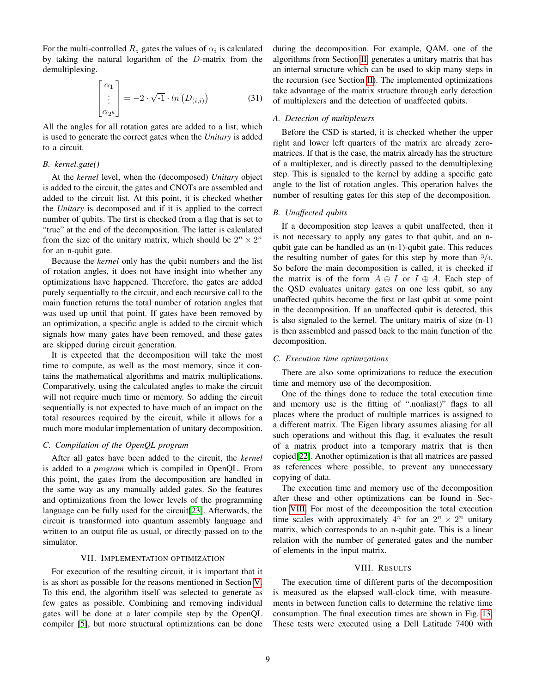For the multi-controlled  $R_z$  gates the values of  $\alpha_i$  is calculated by taking the natural logarithm of the D-matrix from the demultiplexing.

$$
\begin{bmatrix} \alpha_1 \\ \vdots \\ \alpha_{2^k} \end{bmatrix} = -2 \cdot \sqrt{-1} \cdot \ln(D_{(i,i)}) \tag{31}
$$

All the angles for all rotation gates are added to a list, which is used to generate the correct gates when the *Unitary* is added to a circuit.

# *B. kernel.gate()*

At the *kernel* level, when the (decomposed) *Unitary* object is added to the circuit, the gates and CNOTs are assembled and added to the circuit list. At this point, it is checked whether the *Unitary* is decomposed and if it is applied to the correct number of qubits. The first is checked from a flag that is set to "true" at the end of the decomposition. The latter is calculated from the size of the unitary matrix, which should be  $2^n \times 2^n$ for an n-qubit gate.

Because the *kernel* only has the qubit numbers and the list of rotation angles, it does not have insight into whether any optimizations have happened. Therefore, the gates are added purely sequentially to the circuit, and each recursive call to the main function returns the total number of rotation angles that was used up until that point. If gates have been removed by an optimization, a specific angle is added to the circuit which signals how many gates have been removed, and these gates are skipped during circuit generation.

It is expected that the decomposition will take the most time to compute, as well as the most memory, since it contains the mathematical algorithms and matrix multiplications. Comparatively, using the calculated angles to make the circuit will not require much time or memory. So adding the circuit sequentially is not expected to have much of an impact on the total resources required by the circuit, while it allows for a much more modular implementation of unitary decomposition.

# *C. Compilation of the OpenQL program*

After all gates have been added to the circuit, the *kernel* is added to a *program* which is compiled in OpenQL. From this point, the gates from the decomposition are handled in the same way as any manually added gates. So the features and optimizations from the lower levels of the programming language can be fully used for the circuit[\[23\]](#page-11-23). Afterwards, the circuit is transformed into quantum assembly language and written to an output file as usual, or directly passed on to the simulator.

## VII. IMPLEMENTATION OPTIMIZATION

<span id="page-8-0"></span>For execution of the resulting circuit, it is important that it is as short as possible for the reasons mentioned in Section [V.](#page-3-1) To this end, the algorithm itself was selected to generate as few gates as possible. Combining and removing individual gates will be done at a later compile step by the OpenQL compiler [\[5\]](#page-11-4), but more structural optimizations can be done

during the decomposition. For example, QAM, one of the algorithms from Section [II,](#page-1-0) generates a unitary matrix that has an internal structure which can be used to skip many steps in the recursion (see Section [II\)](#page-1-0). The implemented optimizations take advantage of the matrix structure through early detection of multiplexers and the detection of unaffected qubits.

## *A. Detection of multiplexers*

Before the CSD is started, it is checked whether the upper right and lower left quarters of the matrix are already zeromatrices. If that is the case, the matrix already has the structure of a multiplexer, and is directly passed to the demultiplexing step. This is signaled to the kernel by adding a specific gate angle to the list of rotation angles. This operation halves the number of resulting gates for this step of the decomposition.

# *B. Unaffected qubits*

If a decomposition step leaves a qubit unaffected, then it is not necessary to apply any gates to that qubit, and an nqubit gate can be handled as an (n-1)-qubit gate. This reduces the resulting number of gates for this step by more than  $\frac{3}{4}$ . So before the main decomposition is called, it is checked if the matrix is of the form  $A \oplus I$  or  $I \oplus A$ . Each step of the QSD evaluates unitary gates on one less qubit, so any unaffected qubits become the first or last qubit at some point in the decomposition. If an unaffected qubit is detected, this is also signaled to the kernel. The unitary matrix of size (n-1) is then assembled and passed back to the main function of the decomposition.

# *C. Execution time optimizations*

There are also some optimizations to reduce the execution time and memory use of the decomposition.

One of the things done to reduce the total execution time and memory use is the fitting of ".noalias()" flags to all places where the product of multiple matrices is assigned to a different matrix. The Eigen library assumes aliasing for all such operations and without this flag, it evaluates the result of a matrix product into a temporary matrix that is then copied[\[22\]](#page-11-22). Another optimization is that all matrices are passed as references where possible, to prevent any unnecessary copying of data.

The execution time and memory use of the decomposition after these and other optimizations can be found in Section [VIII.](#page-8-1) For most of the decomposition the total execution time scales with approximately  $4^n$  for an  $2^n \times 2^n$  unitary matrix, which corresponds to an n-qubit gate. This is a linear relation with the number of generated gates and the number of elements in the input matrix.

## VIII. RESULTS

<span id="page-8-1"></span>The execution time of different parts of the decomposition is measured as the elapsed wall-clock time, with measurements in between function calls to determine the relative time consumption. The final execution times are shown in Fig. [13.](#page-9-1) These tests were executed using a Dell Latitude 7400 with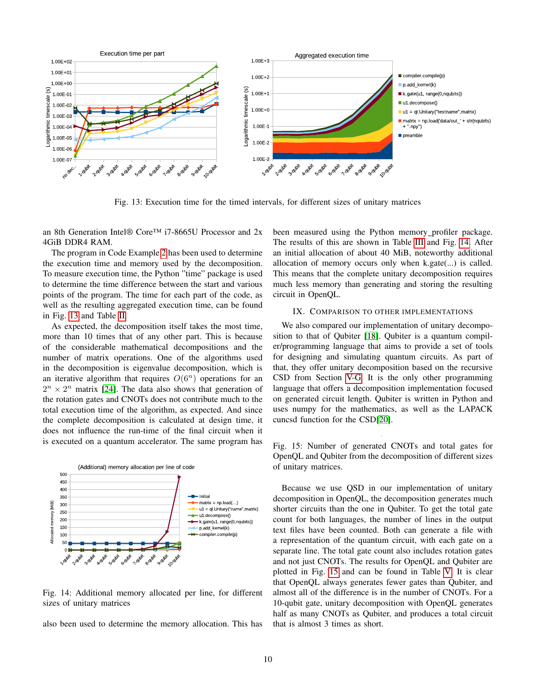<span id="page-9-1"></span>

Fig. 13: Execution time for the timed intervals, for different sizes of unitary matrices

an 8th Generation Intel® Core™ i7-8665U Processor and 2x 4GiB DDR4 RAM.

The program in Code Example [2](#page-11-21) has been used to determine the execution time and memory used by the decomposition. To measure execution time, the Python "time" package is used to determine the time difference between the start and various points of the program. The time for each part of the code, as well as the resulting aggregated execution time, can be found in Fig. [13](#page-9-1) and Table [II.](#page-12-0)

As expected, the decomposition itself takes the most time, more than 10 times that of any other part. This is because of the considerable mathematical decompositions and the number of matrix operations. One of the algorithms used in the decomposition is eigenvalue decomposition, which is an iterative algorithm that requires  $O(6^n)$  operations for an  $2^n \times 2^n$  matrix [\[24\]](#page-11-24). The data also shows that generation of the rotation gates and CNOTs does not contribute much to the total execution time of the algorithm, as expected. And since the complete decomposition is calculated at design time, it does not influence the run-time of the final circuit when it is executed on a quantum accelerator. The same program has

<span id="page-9-2"></span>

Fig. 14: Additional memory allocated per line, for different sizes of unitary matrices

also been used to determine the memory allocation. This has

been measured using the Python memory profiler package. The results of this are shown in Table [III](#page-12-1) and Fig. [14.](#page-9-2) After an initial allocation of about 40 MiB, noteworthy additional allocation of memory occurs only when k.gate(...) is called. This means that the complete unitary decomposition requires much less memory than generating and storing the resulting circuit in OpenQL.

## IX. COMPARISON TO OTHER IMPLEMENTATIONS

<span id="page-9-0"></span>We also compared our implementation of unitary decomposition to that of Qubiter [\[18\]](#page-11-17). Qubiter is a quantum compiler/programming language that aims to provide a set of tools for designing and simulating quantum circuits. As part of that, they offer unitary decomposition based on the recursive CSD from Section [V-G.](#page-5-5) It is the only other programming language that offers a decomposition implementation focused on generated circuit length. Qubiter is written in Python and uses numpy for the mathematics, as well as the LAPACK cuncsd function for the CSD[\[20\]](#page-11-19).

<span id="page-9-3"></span>Fig. 15: Number of generated CNOTs and total gates for OpenQL and Qubiter from the decomposition of different sizes of unitary matrices.

Because we use QSD in our implementation of unitary decomposition in OpenQL, the decomposition generates much shorter circuits than the one in Qubiter. To get the total gate count for both languages, the number of lines in the output text files have been counted. Both can generate a file with a representation of the quantum circuit, with each gate on a separate line. The total gate count also includes rotation gates and not just CNOTs. The results for OpenQL and Qubiter are plotted in Fig. [15](#page-9-3) and can be found in Table [V.](#page-12-2) It is clear that OpenQL always generates fewer gates than Qubiter, and almost all of the difference is in the number of CNOTs. For a 10-qubit gate, unitary decomposition with OpenQL generates half as many CNOTs as Qubiter, and produces a total circuit that is almost 3 times as short.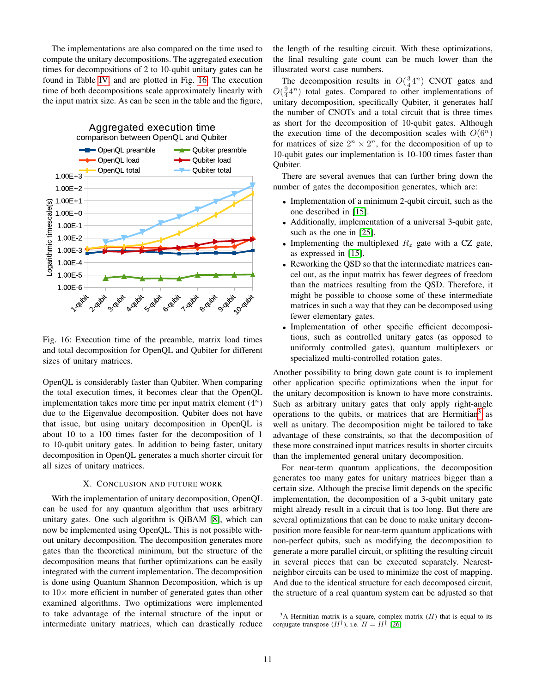The implementations are also compared on the time used to compute the unitary decompositions. The aggregated execution times for decompositions of 2 to 10-qubit unitary gates can be found in Table [IV,](#page-12-3) and are plotted in Fig. [16.](#page-10-1) The execution time of both decompositions scale approximately linearly with the input matrix size. As can be seen in the table and the figure,

<span id="page-10-1"></span>

Fig. 16: Execution time of the preamble, matrix load times and total decomposition for OpenQL and Qubiter for different sizes of unitary matrices.

OpenQL is considerably faster than Qubiter. When comparing the total execution times, it becomes clear that the OpenQL implementation takes more time per input matrix element  $(4^n)$ due to the Eigenvalue decomposition. Qubiter does not have that issue, but using unitary decomposition in OpenQL is about 10 to a 100 times faster for the decomposition of 1 to 10-qubit unitary gates. In addition to being faster, unitary decomposition in OpenQL generates a much shorter circuit for all sizes of unitary matrices.

## X. CONCLUSION AND FUTURE WORK

<span id="page-10-0"></span>With the implementation of unitary decomposition, OpenQL can be used for any quantum algorithm that uses arbitrary unitary gates. One such algorithm is QiBAM [\[8\]](#page-11-7), which can now be implemented using OpenQL. This is not possible without unitary decomposition. The decomposition generates more gates than the theoretical minimum, but the structure of the decomposition means that further optimizations can be easily integrated with the current implementation. The decomposition is done using Quantum Shannon Decomposition, which is up to  $10\times$  more efficient in number of generated gates than other examined algorithms. Two optimizations were implemented to take advantage of the internal structure of the input or intermediate unitary matrices, which can drastically reduce the length of the resulting circuit. With these optimizations, the final resulting gate count can be much lower than the illustrated worst case numbers.

The decomposition results in  $O(\frac{3}{4}4^n)$  CNOT gates and  $O(\frac{9}{4}4^n)$  total gates. Compared to other implementations of unitary decomposition, specifically Qubiter, it generates half the number of CNOTs and a total circuit that is three times as short for the decomposition of 10-qubit gates. Although the execution time of the decomposition scales with  $O(6^n)$ for matrices of size  $2^n \times 2^n$ , for the decomposition of up to 10-qubit gates our implementation is 10-100 times faster than Qubiter.

There are several avenues that can further bring down the number of gates the decomposition generates, which are:

- Implementation of a minimum 2-qubit circuit, such as the one described in [\[15\]](#page-11-14).
- Additionally, implementation of a universal 3-qubit gate, such as the one in [\[25\]](#page-11-25).
- Implementing the multiplexed  $R_z$  gate with a CZ gate, as expressed in [\[15\]](#page-11-14).
- Reworking the QSD so that the intermediate matrices cancel out, as the input matrix has fewer degrees of freedom than the matrices resulting from the QSD. Therefore, it might be possible to choose some of these intermediate matrices in such a way that they can be decomposed using fewer elementary gates.
- Implementation of other specific efficient decompositions, such as controlled unitary gates (as opposed to uniformly controlled gates), quantum multiplexers or specialized multi-controlled rotation gates.

Another possibility to bring down gate count is to implement other application specific optimizations when the input for the unitary decomposition is known to have more constraints. Such as arbitrary unitary gates that only apply right-angle operations to the qubits, or matrices that are Hermitian<sup>[3](#page-10-2)</sup> as well as unitary. The decomposition might be tailored to take advantage of these constraints, so that the decomposition of these more constrained input matrices results in shorter circuits than the implemented general unitary decomposition.

For near-term quantum applications, the decomposition generates too many gates for unitary matrices bigger than a certain size. Although the precise limit depends on the specific implementation, the decomposition of a 3-qubit unitary gate might already result in a circuit that is too long. But there are several optimizations that can be done to make unitary decomposition more feasible for near-term quantum applications with non-perfect qubits, such as modifying the decomposition to generate a more parallel circuit, or splitting the resulting circuit in several pieces that can be executed separately. Nearestneighbor circuits can be used to minimize the cost of mapping. And due to the identical structure for each decomposed circuit, the structure of a real quantum system can be adjusted so that

<span id="page-10-2"></span> $3A$  Hermitian matrix is a square, complex matrix (*H*) that is equal to its conjugate transpose  $(H^{\dagger})$ , i.e.  $H = H^{\dagger}$  [\[26\]](#page-11-26)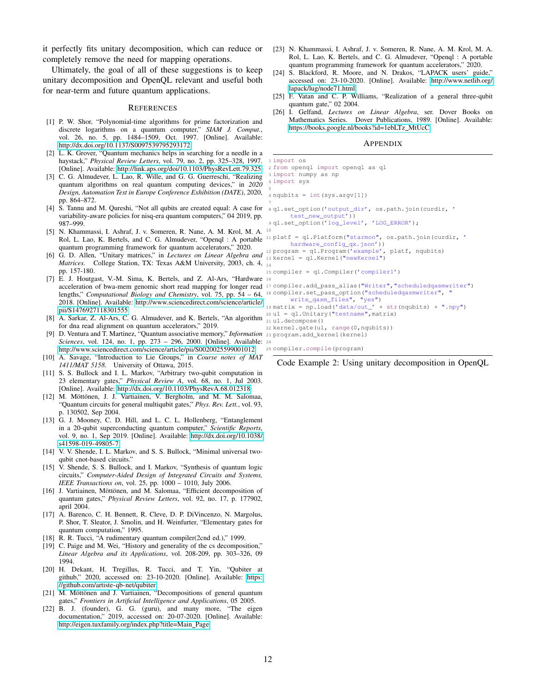it perfectly fits unitary decomposition, which can reduce or completely remove the need for mapping operations.

Ultimately, the goal of all of these suggestions is to keep unitary decomposition and OpenQL relevant and useful both for near-term and future quantum applications.

#### **REFERENCES**

- <span id="page-11-0"></span>[1] P. W. Shor, "Polynomial-time algorithms for prime factorization and discrete logarithms on a quantum computer," *SIAM J. Comput.*, vol. 26, no. 5, pp. 1484–1509, Oct. 1997. [Online]. Available: <http://dx.doi.org/10.1137/S0097539795293172>
- <span id="page-11-1"></span>[2] L. K. Grover, "Quantum mechanics helps in searching for a needle in a haystack," *Physical Review Letters*, vol. 79, no. 2, pp. 325–328, 1997. [Online]. Available:<http://link.aps.org/doi/10.1103/PhysRevLett.79.325>
- <span id="page-11-2"></span>[3] C. G. Almudever, L. Lao, R. Wille, and G. G. Guerreschi, "Realizing quantum algorithms on real quantum computing devices," in *2020 Design, Automation Test in Europe Conference Exhibition (DATE)*, 2020, pp. 864–872.
- <span id="page-11-3"></span>[4] S. Tannu and M. Qureshi, "Not all qubits are created equal: A case for variability-aware policies for nisq-era quantum computers," 04 2019, pp. 987–999.
- <span id="page-11-4"></span>[5] N. Khammassi, I. Ashraf, J. v. Someren, R. Nane, A. M. Krol, M. A. Rol, L. Lao, K. Bertels, and C. G. Almudever, "Openql : A portable 11 platf = ql.Platform("starmon", os.path.join(curdir, ' quantum programming framework for quantum accelerators," 2020.
- <span id="page-11-5"></span>[6] G. D. Allen, "Unitary matrices," in *Lectures on Linear Algebra and* 13 kernel = ql.Kernel("newKernel") Matrices. College Station, TX: Texas A&M University, 2003, ch. 4, 14 pp. 157-180.
- <span id="page-11-6"></span>[7] E. J. Houtgast, V.-M. Sima, K. Bertels, and Z. Al-Ars, "Hardware 16 lengths," *Computational Biology and Chemistry*, vol. 75, pp. 54 – 64, 18 compiler.set\_pass\_option("scheduledqasmwriter", " 2018. [Online]. Available: [http://www.sciencedirect.com/science/article/](http://www.sciencedirect.com/science/article/pii/S1476927118301555) [pii/S1476927118301555](http://www.sciencedirect.com/science/article/pii/S1476927118301555)
- <span id="page-11-7"></span>[8] A. Sarkar, Z. Al-Ars, C. G. Almudever, and K. Bertels, "An algorithm  $\frac{1}{21}$  u1. decompose () for dna read alignment on quantum accelerators," 2019.
- <span id="page-11-8"></span>[9] D. Ventura and T. Martinez, "Quantum associative memory," *Information* 23 program.add\_kernel(kernel) *Sciences*, vol. 124, no. 1, pp. 273 – 296, 2000. [Online]. Available: 24 <http://www.sciencedirect.com/science/article/pii/S0020025599001012>
- <span id="page-11-9"></span>[10] A. Savage, "Introduction to Lie Groups," in *Course notes of MAT 1411/MAT 5158*. University of Ottawa, 2015.
- <span id="page-11-10"></span>[11] S. S. Bullock and I. L. Markov, "Arbitrary two-qubit computation in 23 elementary gates," *Physical Review A*, vol. 68, no. 1, Jul 2003. [Online]. Available:<http://dx.doi.org/10.1103/PhysRevA.68.012318>
- <span id="page-11-11"></span>[12] M. Möttönen, J. J. Vartiainen, V. Bergholm, and M. M. Salomaa, "Quantum circuits for general multiqubit gates," *Phys. Rev. Lett.*, vol. 93, p. 130502, Sep 2004.
- <span id="page-11-12"></span>[13] G. J. Mooney, C. D. Hill, and L. C. L. Hollenberg, "Entanglement in a 20-qubit superconducting quantum computer," *Scientific Reports*, vol. 9, no. 1, Sep 2019. [Online]. Available: [http://dx.doi.org/10.1038/](http://dx.doi.org/10.1038/s41598-019-49805-7) [s41598-019-49805-7](http://dx.doi.org/10.1038/s41598-019-49805-7)
- <span id="page-11-13"></span>[14] V. V. Shende, I. L. Markov, and S. S. Bullock, "Minimal universal twoqubit cnot-based circuits."
- <span id="page-11-14"></span>[15] V. Shende, S. S. Bullock, and I. Markov, "Synthesis of quantum logic circuits," *Computer-Aided Design of Integrated Circuits and Systems, IEEE Transactions on*, vol. 25, pp. 1000 – 1010, July 2006.
- <span id="page-11-15"></span>[16] J. Vartiainen, Möttönen, and M. Salomaa, "Efficient decomposition of quantum gates," *Physical Review Letters*, vol. 92, no. 17, p. 177902, april 2004.
- <span id="page-11-16"></span>[17] A. Barenco, C. H. Bennett, R. Cleve, D. P. DiVincenzo, N. Margolus, P. Shor, T. Sleator, J. Smolin, and H. Weinfurter, "Elementary gates for quantum computation," 1995.
- <span id="page-11-17"></span>[18] R. R. Tucci, "A rudimentary quantum compiler(2cnd ed.)," 1999.
- <span id="page-11-18"></span>[19] C. Paige and M. Wei, "History and generality of the cs decomposition," *Linear Algebra and its Applications*, vol. 208-209, pp. 303–326, 09 1994.
- <span id="page-11-19"></span>[20] H. Dekant, H. Tregillus, R. Tucci, and T. Yin, "Qubiter at github," 2020, accessed on: 23-10-2020. [Online]. Available: [https:](https://github.com/artiste-qb-net/qubiter) [//github.com/artiste-qb-net/qubiter](https://github.com/artiste-qb-net/qubiter)
- <span id="page-11-20"></span>[21] M. Möttönen and J. Vartiainen, "Decompositions of general quantum gates," *Frontiers in Artificial Intelligence and Applications*, 05 2005.
- <span id="page-11-22"></span>[22] B. J. (founder), G. G. (guru), and many more, "The eigen documentation," 2019, accessed on: 20-07-2020. [Online]. Available: [http://eigen.tuxfamily.org/index.php?title=Main](http://eigen.tuxfamily.org/index.php?title=Main_Page) Page
- <span id="page-11-23"></span>[23] N. Khammassi, I. Ashraf, J. v. Someren, R. Nane, A. M. Krol, M. A. Rol, L. Lao, K. Bertels, and C. G. Almudever, "Openql : A portable quantum programming framework for quantum accelerators," 2020.
- <span id="page-11-24"></span>[24] S. Blackford, R. Moore, and N. Drakos, "LAPACK users' guide," accessed on: 23-10-2020. [Online]. Available: [http://www.netlib.org/](http://www.netlib.org/lapack/lug/node71.html) [lapack/lug/node71.html](http://www.netlib.org/lapack/lug/node71.html)
- <span id="page-11-25"></span>[25] F. Vatan and C. P. Williams, "Realization of a general three-qubit quantum gate," 02 2004.
- <span id="page-11-26"></span><span id="page-11-21"></span>[26] I. Gelfand, *Lectures on Linear Algebra*, ser. Dover Books on Mathematics Series. Dover Publications, 1989. [Online]. Available: [https://books.google.nl/books?id=1ebLTz](https://books.google.nl/books?id=1ebLTz_MtUcC)\_MtUcC

#### APPENDIX

```
acceleration of bwa-mem genomic short read mapping for longer read
17 compiler.add_pass_alias("Writer","scheduledqasmwriter")
                                                               1 import os
                                                               2 from openql import openql as ql
                                                               3 import numpy as np
                                                               4 import sys
                                                               5
                                                               6 nqubits = int (sys.argv[1])
                                                               7
                                                               8 ql.set_option('output_dir', os.path.join(curdir, '
                                                                     test_new_output'))
                                                               9 ql.set_option('log_level', 'LOG_ERROR');
                                                              10
                                                                     hardware_config_qx.json'))
                                                              12 program = ql.Program('example', platf, nqubits)
                                                              15 compiler = ql.Compiler('compiler1')
                                                               write_qasm_files", "yes")
19 matrix = np.load('data/out_' + str(nqubits) + ".npy")
                                                              20 u1 = ql.Unitary("testname",matrix)
                                                              22 kernel.gate(u1, range(0,nqubits))
```
25 compiler.compile(program)

Code Example 2: Using unitary decomposition in OpenQL